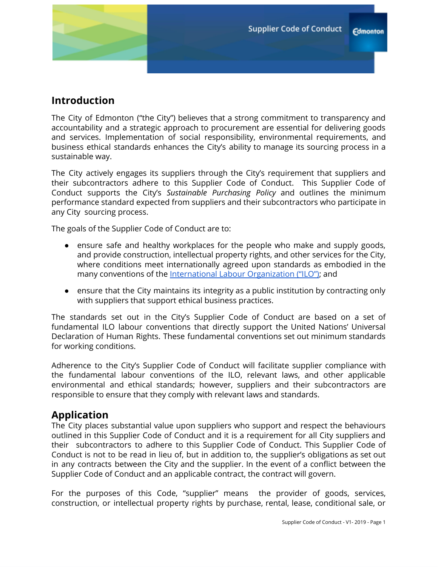# **Introduction**

The City of Edmonton ("the City") believes that a strong commitment to transparency and accountability and a strategic approach to procurement are essential for delivering goods and services. Implementation of social responsibility, environmental requirements, and business ethical standards enhances the City's ability to manage its sourcing process in a sustainable way.

The City actively engages its suppliers through the City's requirement that suppliers and their subcontractors adhere to this Supplier Code of Conduct. This Supplier Code of Conduct supports the City's *Sustainable Purchasing Policy* and outlines the minimum performance standard expected from suppliers and their subcontractors who participate in any City sourcing process.

The goals of the Supplier Code of Conduct are to:

- ensure safe and healthy workplaces for the people who make and supply goods, and provide construction, intellectual property rights, and other services for the City, where conditions meet internationally agreed upon standards as embodied in the many conventions of the International Labour [Organization](https://www.ilo.org/global/standards/introduction-to-international-labour-standards/conventions-and-recommendations/lang--en/index.htm) ("ILO"); and
- ensure that the City maintains its integrity as a public institution by contracting only with suppliers that support ethical business practices.

The standards set out in the City's Supplier Code of Conduct are based on a set of fundamental ILO labour conventions that directly support the United Nations' Universal Declaration of Human Rights. These fundamental conventions set out minimum standards for working conditions.

Adherence to the City's Supplier Code of Conduct will facilitate supplier compliance with the fundamental labour conventions of the ILO, relevant laws, and other applicable environmental and ethical standards; however, suppliers and their subcontractors are responsible to ensure that they comply with relevant laws and standards.

# **Application**

The City places substantial value upon suppliers who support and respect the behaviours outlined in this Supplier Code of Conduct and it is a requirement for all City suppliers and their subcontractors to adhere to this Supplier Code of Conduct. This Supplier Code of Conduct is not to be read in lieu of, but in addition to, the supplier's obligations as set out in any contracts between the City and the supplier. In the event of a conflict between the Supplier Code of Conduct and an applicable contract, the contract will govern.

For the purposes of this Code, "supplier" means the provider of goods, services, construction, or intellectual property rights by purchase, rental, lease, conditional sale, or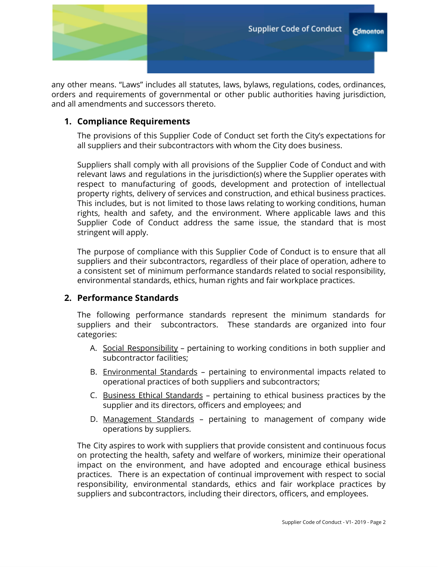

any other means. "Laws" includes all statutes, laws, bylaws, regulations, codes, ordinances, orders and requirements of governmental or other public authorities having jurisdiction, and all amendments and successors thereto.

# **1. Compliance Requirements**

The provisions of this Supplier Code of Conduct set forth the City's expectations for all suppliers and their subcontractors with whom the City does business.

Suppliers shall comply with all provisions of the Supplier Code of Conduct and with relevant laws and regulations in the jurisdiction(s) where the Supplier operates with respect to manufacturing of goods, development and protection of intellectual property rights, delivery of services and construction, and ethical business practices. This includes, but is not limited to those laws relating to working conditions, human rights, health and safety, and the environment. Where applicable laws and this Supplier Code of Conduct address the same issue, the standard that is most stringent will apply.

The purpose of compliance with this Supplier Code of Conduct is to ensure that all suppliers and their subcontractors, regardless of their place of operation, adhere to a consistent set of minimum performance standards related to social responsibility, environmental standards, ethics, human rights and fair workplace practices.

# **2. Performance Standards**

The following performance standards represent the minimum standards for suppliers and their subcontractors. These standards are organized into four categories:

- A. Social Responsibility pertaining to working conditions in both supplier and subcontractor facilities;
- B. Environmental Standards pertaining to environmental impacts related to operational practices of both suppliers and subcontractors;
- C. Business Ethical Standards pertaining to ethical business practices by the supplier and its directors, officers and employees; and
- D. Management Standards pertaining to management of company wide operations by suppliers.

The City aspires to work with suppliers that provide consistent and continuous focus on protecting the health, safety and welfare of workers, minimize their operational impact on the environment, and have adopted and encourage ethical business practices. There is an expectation of continual improvement with respect to social responsibility, environmental standards, ethics and fair workplace practices by suppliers and subcontractors, including their directors, officers, and employees.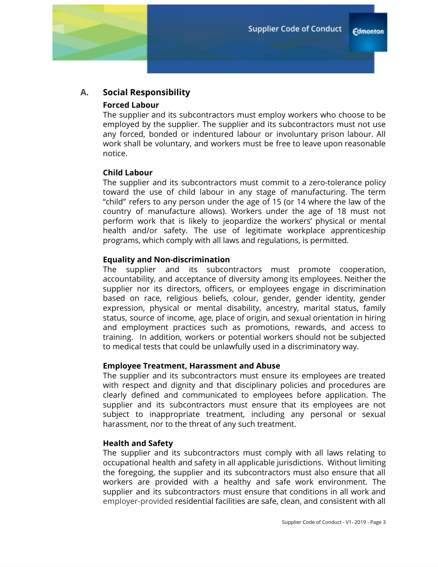# **A. Social Responsibility**

### **Forced Labour**

The supplier and its subcontractors must employ workers who choose to be employed by the supplier. The supplier and its subcontractors must not use any forced, bonded or indentured labour or involuntary prison labour. All work shall be voluntary, and workers must be free to leave upon reasonable notice.

### **Child Labour**

The supplier and its subcontractors must commit to a zero-tolerance policy toward the use of child labour in any stage of manufacturing. The term "child" refers to any person under the age of 15 (or 14 where the law of the country of manufacture allows). Workers under the age of 18 must not perform work that is likely to jeopardize the workers' physical or mental health and/or safety. The use of legitimate workplace apprenticeship programs, which comply with all laws and regulations, is permitted.

### **Equality and Non-discrimination**

The supplier and its subcontractors must promote cooperation, accountability, and acceptance of diversity among its employees. Neither the supplier nor its directors, officers, or employees engage in discrimination based on race, religious beliefs, colour, gender, gender identity, gender expression, physical or mental disability, ancestry, marital status, family status, source of income, age, place of origin, and sexual orientation in hiring and employment practices such as promotions, rewards, and access to training. In addition, workers or potential workers should not be subjected to medical tests that could be unlawfully used in a discriminatory way.

#### **Employee Treatment, Harassment and Abuse**

The supplier and its subcontractors must ensure its employees are treated with respect and dignity and that disciplinary policies and procedures are clearly defined and communicated to employees before application. The supplier and its subcontractors must ensure that its employees are not subject to inappropriate treatment, including any personal or sexual harassment, nor to the threat of any such treatment.

#### **Health and Safety**

The supplier and its subcontractors must comply with all laws relating to occupational health and safety in all applicable jurisdictions. Without limiting the foregoing, the supplier and its subcontractors must also ensure that all workers are provided with a healthy and safe work environment. The supplier and its subcontractors must ensure that conditions in all work and employer-provided residential facilities are safe, clean, and consistent with all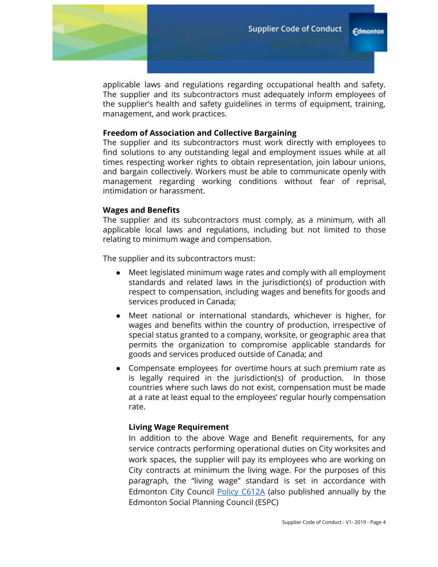applicable laws and regulations regarding occupational health and safety. The supplier and its subcontractors must adequately inform employees of the supplier's health and safety guidelines in terms of equipment, training, management, and work practices.

### **Freedom of Association and Collective Bargaining**

The supplier and its subcontractors must work directly with employees to find solutions to any outstanding legal and employment issues while at all times respecting worker rights to obtain representation, join labour unions, and bargain collectively. Workers must be able to communicate openly with management regarding working conditions without fear of reprisal, intimidation or harassment.

### **Wages and Benefits**

The supplier and its subcontractors must comply, as a minimum, with all applicable local laws and regulations, including but not limited to those relating to minimum wage and compensation.

The supplier and its subcontractors must:

- Meet legislated minimum wage rates and comply with all employment standards and related laws in the jurisdiction(s) of production with respect to compensation, including wages and benefits for goods and services produced in Canada;
- Meet national or international standards, whichever is higher, for wages and benefits within the country of production, irrespective of special status granted to a company, worksite, or geographic area that permits the organization to compromise applicable standards for goods and services produced outside of Canada; and
- Compensate employees for overtime hours at such premium rate as is legally required in the jurisdiction(s) of production. In those countries where such laws do not exist, compensation must be made at a rate at least equal to the employees' regular hourly compensation rate.

## **Living Wage Requirement**

In addition to the above Wage and Benefit requirements, for any service contracts performing operational duties on City worksites and work spaces, the supplier will pay its employees who are working on City contracts at minimum the living wage. For the purposes of this paragraph, the "living wage" standard is set in accordance with Edmonton City Council Policy [C612A](https://www.edmonton.ca/sites/default/files/public-files/assets/PoliciesDirectives/C612A.pdf) (also published annually by the Edmonton Social Planning Council (ESPC)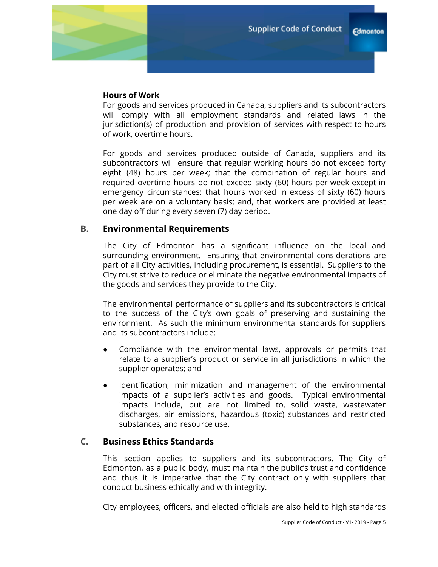

For goods and services produced in Canada, suppliers and its subcontractors will comply with all employment standards and related laws in the jurisdiction(s) of production and provision of services with respect to hours of work, overtime hours.

For goods and services produced outside of Canada, suppliers and its subcontractors will ensure that regular working hours do not exceed forty eight (48) hours per week; that the combination of regular hours and required overtime hours do not exceed sixty (60) hours per week except in emergency circumstances; that hours worked in excess of sixty (60) hours per week are on a voluntary basis; and, that workers are provided at least one day off during every seven (7) day period.

## **B. Environmental Requirements**

The City of Edmonton has a significant influence on the local and surrounding environment. Ensuring that environmental considerations are part of all City activities, including procurement, is essential. Suppliers to the City must strive to reduce or eliminate the negative environmental impacts of the goods and services they provide to the City.

The environmental performance of suppliers and its subcontractors is critical to the success of the City's own goals of preserving and sustaining the environment. As such the minimum environmental standards for suppliers and its subcontractors include:

- Compliance with the environmental laws, approvals or permits that relate to a supplier's product or service in all jurisdictions in which the supplier operates; and
- Identification, minimization and management of the environmental impacts of a supplier's activities and goods. Typical environmental impacts include, but are not limited to, solid waste, wastewater discharges, air emissions, hazardous (toxic) substances and restricted substances, and resource use.

# **C. Business Ethics Standards**

This section applies to suppliers and its subcontractors. The City of Edmonton, as a public body, must maintain the public's trust and confidence and thus it is imperative that the City contract only with suppliers that conduct business ethically and with integrity.

City employees, officers, and elected officials are also held to high standards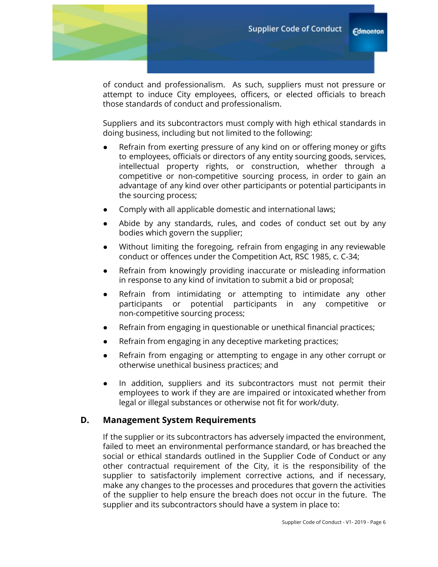of conduct and professionalism. As such, suppliers must not pressure or attempt to induce City employees, officers, or elected officials to breach those standards of conduct and professionalism.

Suppliers and its subcontractors must comply with high ethical standards in doing business, including but not limited to the following:

- Refrain from exerting pressure of any kind on or offering money or gifts to employees, officials or directors of any entity sourcing goods, services, intellectual property rights, or construction, whether through a competitive or non-competitive sourcing process, in order to gain an advantage of any kind over other participants or potential participants in the sourcing process;
- Comply with all applicable domestic and international laws;
- Abide by any standards, rules, and codes of conduct set out by any bodies which govern the supplier;
- Without limiting the foregoing, refrain from engaging in any reviewable conduct or offences under the Competition Act, RSC 1985, c. C-34;
- Refrain from knowingly providing inaccurate or misleading information in response to any kind of invitation to submit a bid or proposal;
- Refrain from intimidating or attempting to intimidate any other participants or potential participants in any competitive or non-competitive sourcing process;
- Refrain from engaging in questionable or unethical financial practices;
- Refrain from engaging in any deceptive marketing practices;
- Refrain from engaging or attempting to engage in any other corrupt or otherwise unethical business practices; and
- In addition, suppliers and its subcontractors must not permit their employees to work if they are are impaired or intoxicated whether from legal or illegal substances or otherwise not fit for work/duty.

# **D. Management System Requirements**

If the supplier or its subcontractors has adversely impacted the environment, failed to meet an environmental performance standard, or has breached the social or ethical standards outlined in the Supplier Code of Conduct or any other contractual requirement of the City, it is the responsibility of the supplier to satisfactorily implement corrective actions, and if necessary, make any changes to the processes and procedures that govern the activities of the supplier to help ensure the breach does not occur in the future. The supplier and its subcontractors should have a system in place to: